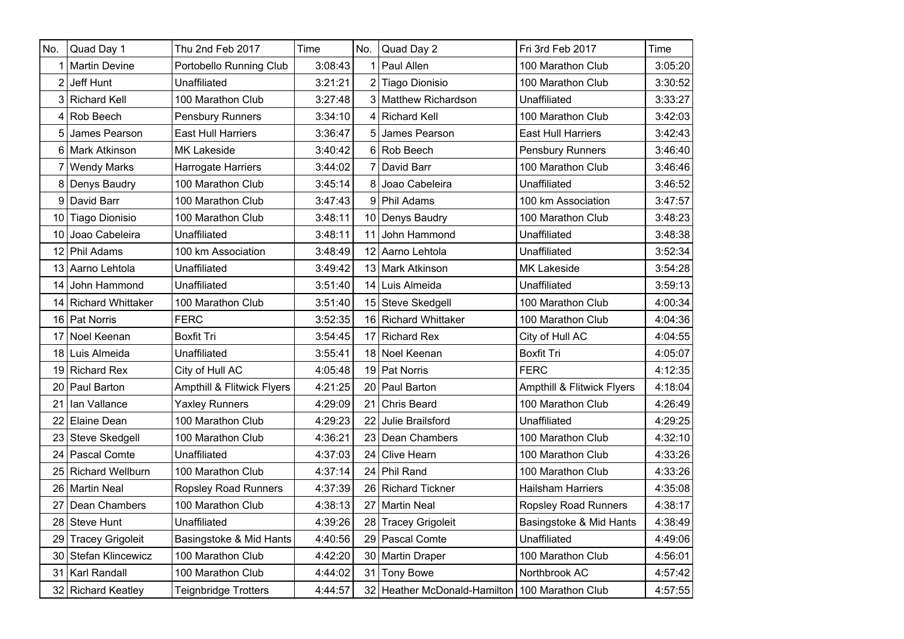| No.            | Quad Day 1               | Thu 2nd Feb 2017            | Time    | No.            | Quad Day 2                                     | Fri 3rd Feb 2017            | Time    |
|----------------|--------------------------|-----------------------------|---------|----------------|------------------------------------------------|-----------------------------|---------|
|                | 1 Martin Devine          | Portobello Running Club     | 3:08:43 |                | Paul Allen                                     | 100 Marathon Club           | 3:05:20 |
| $\overline{2}$ | Jeff Hunt                | Unaffiliated                | 3:21:21 | $\overline{2}$ | Tiago Dionisio                                 | 100 Marathon Club           | 3:30:52 |
|                | 3 Richard Kell           | 100 Marathon Club           | 3:27:48 | 3              | Matthew Richardson                             | Unaffiliated                | 3:33:27 |
| $\overline{4}$ | Rob Beech                | Pensbury Runners            | 3:34:10 | 4              | <b>Richard Kell</b>                            | 100 Marathon Club           | 3:42:03 |
| 5              | James Pearson            | <b>East Hull Harriers</b>   | 3:36:47 | 5              | James Pearson                                  | <b>East Hull Harriers</b>   | 3:42:43 |
| 6              | Mark Atkinson            | <b>MK Lakeside</b>          | 3:40:42 |                | 6 Rob Beech                                    | Pensbury Runners            | 3:46:40 |
| 7              | <b>Wendy Marks</b>       | Harrogate Harriers          | 3:44:02 | 7              | David Barr                                     | 100 Marathon Club           | 3:46:46 |
| 8              | Denys Baudry             | 100 Marathon Club           | 3:45:14 | 8              | Joao Cabeleira                                 | Unaffiliated                | 3:46:52 |
| 9              | David Barr               | 100 Marathon Club           | 3:47:43 | 9              | Phil Adams                                     | 100 km Association          | 3:47:57 |
|                | 10 Tiago Dionisio        | 100 Marathon Club           | 3:48:11 |                | 10 Denys Baudry                                | 100 Marathon Club           | 3:48:23 |
| 10             | Joao Cabeleira           | Unaffiliated                | 3:48:11 | 11             | John Hammond                                   | Unaffiliated                | 3:48:38 |
| 12             | <b>Phil Adams</b>        | 100 km Association          | 3:48:49 | 12             | Aarno Lehtola                                  | Unaffiliated                | 3:52:34 |
| 13             | Aarno Lehtola            | Unaffiliated                | 3:49:42 | 13             | <b>Mark Atkinson</b>                           | <b>MK Lakeside</b>          | 3:54:28 |
| 14 l           | John Hammond             | Unaffiliated                | 3:51:40 | 14             | I Luis Almeida                                 | Unaffiliated                | 3:59:13 |
| 14             | <b>Richard Whittaker</b> | 100 Marathon Club           | 3:51:40 | 15             | Steve Skedgell                                 | 100 Marathon Club           | 4:00:34 |
|                | 16 Pat Norris            | <b>FERC</b>                 | 3:52:35 |                | 16 Richard Whittaker                           | 100 Marathon Club           | 4:04:36 |
| 17             | Noel Keenan              | <b>Boxfit Tri</b>           | 3:54:45 | 17             | <b>Richard Rex</b>                             | City of Hull AC             | 4:04:55 |
| 18             | Luis Almeida             | Unaffiliated                | 3:55:41 | 18             | Noel Keenan                                    | <b>Boxfit Tri</b>           | 4:05:07 |
| 19             | <b>Richard Rex</b>       | City of Hull AC             | 4:05:48 | 19             | <b>Pat Norris</b>                              | <b>FERC</b>                 | 4:12:35 |
| 20             | Paul Barton              | Ampthill & Flitwick Flyers  | 4:21:25 | 20             | Paul Barton                                    | Ampthill & Flitwick Flyers  | 4:18:04 |
| 21             | Ian Vallance             | <b>Yaxley Runners</b>       | 4:29:09 | 21             | <b>Chris Beard</b>                             | 100 Marathon Club           | 4:26:49 |
| 22             | Elaine Dean              | 100 Marathon Club           | 4:29:23 | 22             | Julie Brailsford                               | Unaffiliated                | 4:29:25 |
| 23             | Steve Skedgell           | 100 Marathon Club           | 4:36:21 | 23             | Dean Chambers                                  | 100 Marathon Club           | 4:32:10 |
| 24             | <b>Pascal Comte</b>      | Unaffiliated                | 4:37:03 | 24             | <b>Clive Hearn</b>                             | 100 Marathon Club           | 4:33:26 |
| 25             | <b>Richard Wellburn</b>  | 100 Marathon Club           | 4:37:14 | 24             | Phil Rand                                      | 100 Marathon Club           | 4:33:26 |
| 26             | <b>Martin Neal</b>       | <b>Ropsley Road Runners</b> | 4:37:39 | 26             | Richard Tickner                                | Hailsham Harriers           | 4:35:08 |
| 27             | Dean Chambers            | 100 Marathon Club           | 4:38:13 | 27             | Martin Neal                                    | <b>Ropsley Road Runners</b> | 4:38:17 |
| 28             | <b>Steve Hunt</b>        | Unaffiliated                | 4:39:26 | 28             | Tracey Grigoleit                               | Basingstoke & Mid Hants     | 4:38:49 |
|                | 29 Tracey Grigoleit      | Basingstoke & Mid Hants     | 4:40:56 | 29             | Pascal Comte                                   | Unaffiliated                | 4:49:06 |
| 30             | Stefan Klincewicz        | 100 Marathon Club           | 4:42:20 | 30             | Martin Draper                                  | 100 Marathon Club           | 4:56:01 |
| 31             | Karl Randall             | 100 Marathon Club           | 4:44:02 | 31             | <b>Tony Bowe</b>                               | Northbrook AC               | 4:57:42 |
|                | 32 Richard Keatley       | <b>Teignbridge Trotters</b> | 4:44:57 |                | 32 Heather McDonald-Hamilton 100 Marathon Club |                             | 4:57:55 |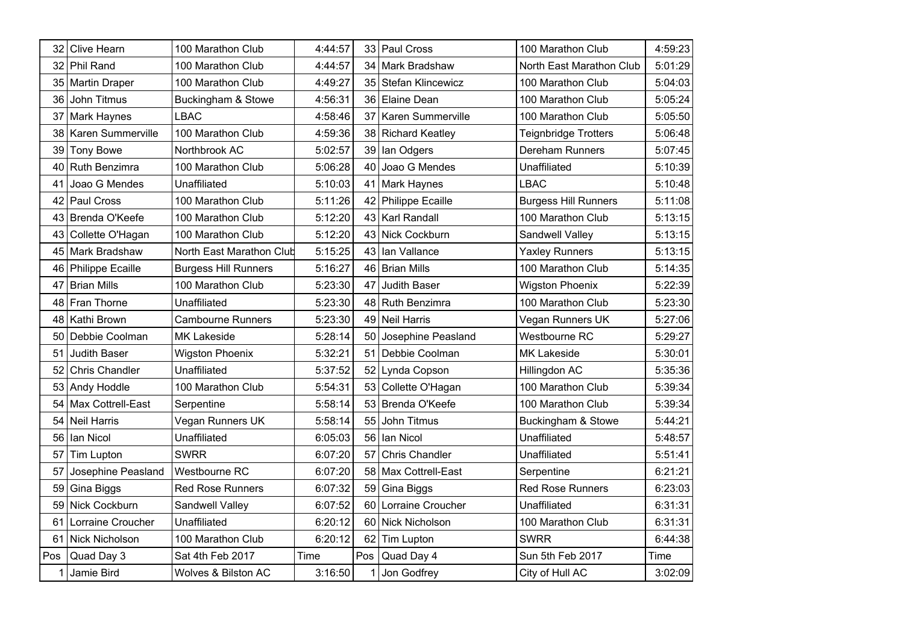| 32  | Clive Hearn            | 100 Marathon Club           | 4:44:57 |     | 33 Paul Cross         | 100 Marathon Club           | 4:59:23 |
|-----|------------------------|-----------------------------|---------|-----|-----------------------|-----------------------------|---------|
| 32  | Phil Rand              | 100 Marathon Club           | 4:44:57 | 34  | Mark Bradshaw         | North East Marathon Club    | 5:01:29 |
|     | 35 Martin Draper       | 100 Marathon Club           | 4:49:27 |     | 35 Stefan Klincewicz  | 100 Marathon Club           | 5:04:03 |
| 36  | John Titmus            | Buckingham & Stowe          | 4:56:31 |     | 36 Elaine Dean        | 100 Marathon Club           | 5:05:24 |
| 37  | <b>Mark Haynes</b>     | <b>LBAC</b>                 | 4:58:46 | 37  | Karen Summerville     | 100 Marathon Club           | 5:05:50 |
|     | 38   Karen Summerville | 100 Marathon Club           | 4:59:36 |     | 38 Richard Keatley    | <b>Teignbridge Trotters</b> | 5:06:48 |
| 39  | <b>Tony Bowe</b>       | Northbrook AC               | 5:02:57 | 39  | Ian Odgers            | <b>Dereham Runners</b>      | 5:07:45 |
| 40  | Ruth Benzimra          | 100 Marathon Club           | 5:06:28 | 40  | Joao G Mendes         | Unaffiliated                | 5:10:39 |
| 41  | Joao G Mendes          | Unaffiliated                | 5:10:03 | 41  | Mark Haynes           | <b>LBAC</b>                 | 5:10:48 |
| 42  | Paul Cross             | 100 Marathon Club           | 5:11:26 | 42  | Philippe Ecaille      | <b>Burgess Hill Runners</b> | 5:11:08 |
| 43  | Brenda O'Keefe         | 100 Marathon Club           | 5:12:20 | 43  | Karl Randall          | 100 Marathon Club           | 5:13:15 |
|     | 43 Collette O'Hagan    | 100 Marathon Club           | 5:12:20 |     | 43 Nick Cockburn      | Sandwell Valley             | 5:13:15 |
| 45  | Mark Bradshaw          | North East Marathon Club    | 5:15:25 | 43  | Ian Vallance          | <b>Yaxley Runners</b>       | 5:13:15 |
|     | 46 Philippe Ecaille    | <b>Burgess Hill Runners</b> | 5:16:27 | 46  | <b>Brian Mills</b>    | 100 Marathon Club           | 5:14:35 |
| 47  | <b>Brian Mills</b>     | 100 Marathon Club           | 5:23:30 | 47  | Judith Baser          | <b>Wigston Phoenix</b>      | 5:22:39 |
| 48  | Fran Thorne            | Unaffiliated                | 5:23:30 |     | 48 Ruth Benzimra      | 100 Marathon Club           | 5:23:30 |
| 48  | Kathi Brown            | <b>Cambourne Runners</b>    | 5:23:30 |     | 49 Neil Harris        | Vegan Runners UK            | 5:27:06 |
|     | 50 Debbie Coolman      | MK Lakeside                 | 5:28:14 |     | 50 Josephine Peasland | Westbourne RC               | 5:29:27 |
| 51  | <b>Judith Baser</b>    | <b>Wigston Phoenix</b>      | 5:32:21 | 51  | Debbie Coolman        | <b>MK Lakeside</b>          | 5:30:01 |
| 52  | <b>Chris Chandler</b>  | Unaffiliated                | 5:37:52 | 52  | Lynda Copson          | Hillingdon AC               | 5:35:36 |
|     | 53 Andy Hoddle         | 100 Marathon Club           | 5:54:31 |     | 53 Collette O'Hagan   | 100 Marathon Club           | 5:39:34 |
| 54  | Max Cottrell-East      | Serpentine                  | 5:58:14 | 53  | Brenda O'Keefe        | 100 Marathon Club           | 5:39:34 |
| 54  | <b>Neil Harris</b>     | Vegan Runners UK            | 5:58:14 | 55  | John Titmus           | Buckingham & Stowe          | 5:44:21 |
|     | 56 Ian Nicol           | Unaffiliated                | 6:05:03 |     | 56 Ian Nicol          | Unaffiliated                | 5:48:57 |
| 57  | Tim Lupton             | <b>SWRR</b>                 | 6:07:20 | 57  | Chris Chandler        | Unaffiliated                | 5:51:41 |
| 57  | Josephine Peasland     | Westbourne RC               | 6:07:20 | 58  | Max Cottrell-East     | Serpentine                  | 6:21:21 |
| 59  | Gina Biggs             | <b>Red Rose Runners</b>     | 6:07:32 | 59  | Gina Biggs            | <b>Red Rose Runners</b>     | 6:23:03 |
| 59  | Nick Cockburn          | Sandwell Valley             | 6:07:52 | 60  | Lorraine Croucher     | Unaffiliated                | 6:31:31 |
| 61  | Lorraine Croucher      | Unaffiliated                | 6:20:12 | 60  | Nick Nicholson        | 100 Marathon Club           | 6:31:31 |
| 61  | Nick Nicholson         | 100 Marathon Club           | 6:20:12 | 62  | Tim Lupton            | <b>SWRR</b>                 | 6:44:38 |
| Pos | Quad Day 3             | Sat 4th Feb 2017            | Time    | Pos | Quad Day 4            | Sun 5th Feb 2017            | Time    |
| 1   | Jamie Bird             | Wolves & Bilston AC         | 3:16:50 |     | 1 Jon Godfrey         | City of Hull AC             | 3:02:09 |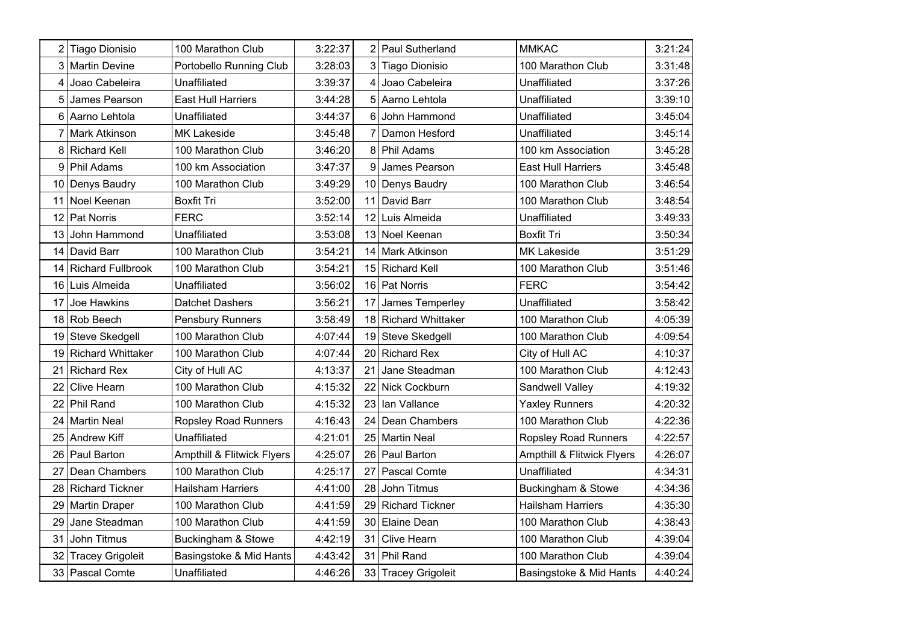| 2   | <b>Tiago Dionisio</b>    | 100 Marathon Club           | 3:22:37 | ا 2 | Paul Sutherland       | <b>MMKAC</b>                          | 3:21:24 |
|-----|--------------------------|-----------------------------|---------|-----|-----------------------|---------------------------------------|---------|
| 3   | <b>Martin Devine</b>     | Portobello Running Club     | 3:28:03 | 31  | <b>Tiago Dionisio</b> | 100 Marathon Club                     | 3:31:48 |
| 4   | Joao Cabeleira           | Unaffiliated                | 3:39:37 | 4   | Joao Cabeleira        | Unaffiliated                          | 3:37:26 |
| 5   | James Pearson            | <b>East Hull Harriers</b>   | 3:44:28 | 5   | Aarno Lehtola         | Unaffiliated                          | 3:39:10 |
| 6   | Aarno Lehtola            | Unaffiliated                | 3:44:37 | 6   | John Hammond          | Unaffiliated                          | 3:45:04 |
| 7   | <b>Mark Atkinson</b>     | MK Lakeside                 | 3:45:48 | 7   | Damon Hesford         | Unaffiliated                          | 3:45:14 |
| 8   | <b>Richard Kell</b>      | 100 Marathon Club           | 3:46:20 | 8   | <b>Phil Adams</b>     | 100 km Association                    | 3:45:28 |
| 9   | Phil Adams               | 100 km Association          | 3:47:37 | 9   | James Pearson         | <b>East Hull Harriers</b>             | 3:45:48 |
|     | 10 Denys Baudry          | 100 Marathon Club           | 3:49:29 |     | 10   Denys Baudry     | 100 Marathon Club                     | 3:46:54 |
| 11  | Noel Keenan              | <b>Boxfit Tri</b>           | 3:52:00 | 11  | David Barr            | 100 Marathon Club                     | 3:48:54 |
| 12  | <b>Pat Norris</b>        | <b>FERC</b>                 | 3:52:14 | 12  | Luis Almeida          | Unaffiliated                          | 3:49:33 |
|     | 13 John Hammond          | Unaffiliated                | 3:53:08 |     | 13 Noel Keenan        | Boxfit Tri                            | 3:50:34 |
| 14  | David Barr               | 100 Marathon Club           | 3:54:21 |     | 14   Mark Atkinson    | <b>MK Lakeside</b>                    | 3:51:29 |
| 14  | <b>Richard Fullbrook</b> | 100 Marathon Club           | 3:54:21 |     | 15 Richard Kell       | 100 Marathon Club                     | 3:51:46 |
|     | 16 Luis Almeida          | Unaffiliated                | 3:56:02 |     | 16 Pat Norris         | <b>FERC</b>                           | 3:54:42 |
| 17  | Joe Hawkins              | <b>Datchet Dashers</b>      | 3:56:21 | 17  | James Temperley       | Unaffiliated                          | 3:58:42 |
|     | 18 Rob Beech             | Pensbury Runners            | 3:58:49 |     | 18 Richard Whittaker  | 100 Marathon Club                     | 4:05:39 |
|     | 19 Steve Skedgell        | 100 Marathon Club           | 4:07:44 |     | 19 Steve Skedgell     | 100 Marathon Club                     | 4:09:54 |
|     | 19 Richard Whittaker     | 100 Marathon Club           | 4:07:44 |     | 20 Richard Rex        | City of Hull AC                       | 4:10:37 |
| 21  | <b>Richard Rex</b>       | City of Hull AC             | 4:13:37 | 21  | Jane Steadman         | 100 Marathon Club                     | 4:12:43 |
| 22  | <b>Clive Hearn</b>       | 100 Marathon Club           | 4:15:32 |     | 22 Nick Cockburn      | Sandwell Valley                       | 4:19:32 |
| 22  | <b>Phil Rand</b>         | 100 Marathon Club           | 4:15:32 |     | 23 Ian Vallance       | <b>Yaxley Runners</b>                 | 4:20:32 |
| 24  | Martin Neal              | <b>Ropsley Road Runners</b> | 4:16:43 |     | 24   Dean Chambers    | 100 Marathon Club                     | 4:22:36 |
|     | 25 Andrew Kiff           | Unaffiliated                | 4:21:01 |     | 25 Martin Neal        | <b>Ropsley Road Runners</b>           | 4:22:57 |
| 261 | <b>Paul Barton</b>       | Ampthill & Flitwick Flyers  | 4:25:07 |     | 26 Paul Barton        | <b>Ampthill &amp; Flitwick Flyers</b> | 4:26:07 |
| 27  | Dean Chambers            | 100 Marathon Club           | 4:25:17 | 27  | Pascal Comte          | Unaffiliated                          | 4:34:31 |
| 28  | l Richard Tickner        | <b>Hailsham Harriers</b>    | 4:41:00 | 28  | John Titmus           | Buckingham & Stowe                    | 4:34:36 |
| 29. | <b>Martin Draper</b>     | 100 Marathon Club           | 4:41:59 | 29  | Richard Tickner       | <b>Hailsham Harriers</b>              | 4:35:30 |
| 29  | Jane Steadman            | 100 Marathon Club           | 4:41:59 | 30  | Elaine Dean           | 100 Marathon Club                     | 4:38:43 |
| 31  | John Titmus              | Buckingham & Stowe          | 4:42:19 | 31  | <b>Clive Hearn</b>    | 100 Marathon Club                     | 4:39:04 |
| 32  | <b>Tracey Grigoleit</b>  | Basingstoke & Mid Hants     | 4:43:42 | 31  | Phil Rand             | 100 Marathon Club                     | 4:39:04 |
|     | 33 Pascal Comte          | Unaffiliated                | 4:46:26 |     | 33 Tracey Grigoleit   | Basingstoke & Mid Hants               | 4:40:24 |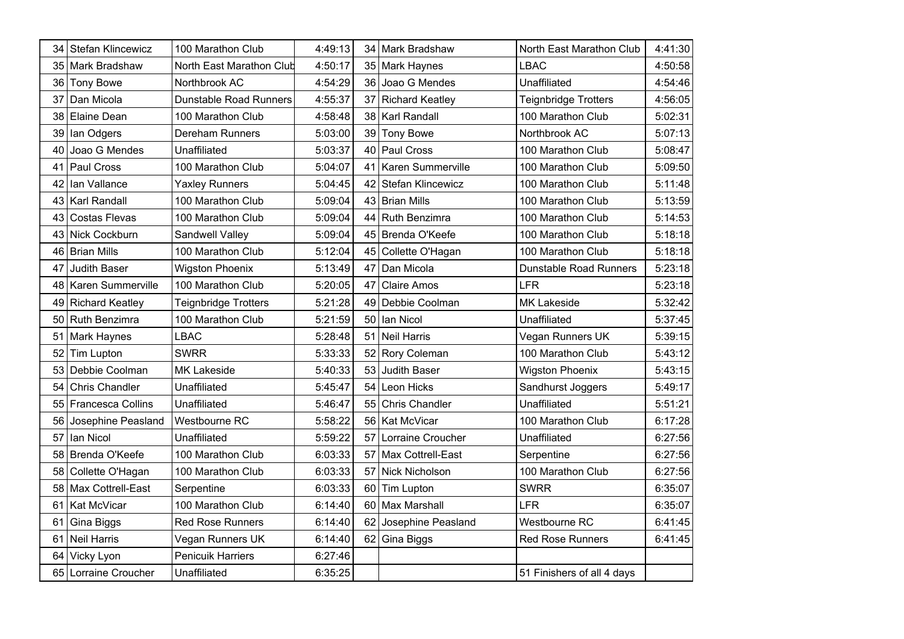| 34   | <b>Stefan Klincewicz</b> | 100 Marathon Club           | 4:49:13 |      | 34   Mark Bradshaw     | North East Marathon Club      | 4:41:30 |
|------|--------------------------|-----------------------------|---------|------|------------------------|-------------------------------|---------|
| 35   | Mark Bradshaw            | North East Marathon Club    | 4:50:17 |      | 35 Mark Haynes         | <b>LBAC</b>                   | 4:50:58 |
| 36   | <b>Tony Bowe</b>         | Northbrook AC               | 4:54:29 | 36   | Joao G Mendes          | Unaffiliated                  | 4:54:46 |
| 37   | Dan Micola               | Dunstable Road Runners      | 4:55:37 |      | 37 Richard Keatley     | <b>Teignbridge Trotters</b>   | 4:56:05 |
| 38   | Elaine Dean              | 100 Marathon Club           | 4:58:48 |      | 38   Karl Randall      | 100 Marathon Club             | 5:02:31 |
| 39   | lan Odgers               | <b>Dereham Runners</b>      | 5:03:00 |      | 39 Tony Bowe           | Northbrook AC                 | 5:07:13 |
| 40   | Joao G Mendes            | Unaffiliated                | 5:03:37 | 40 l | Paul Cross             | 100 Marathon Club             | 5:08:47 |
| 41   | Paul Cross               | 100 Marathon Club           | 5:04:07 | 41   | Karen Summerville      | 100 Marathon Club             | 5:09:50 |
| 42   | lan Vallance             | <b>Yaxley Runners</b>       | 5:04:45 | 421  | Stefan Klincewicz      | 100 Marathon Club             | 5:11:48 |
| 43   | <b>Karl Randall</b>      | 100 Marathon Club           | 5:09:04 | 43   | Brian Mills            | 100 Marathon Club             | 5:13:59 |
| 43   | <b>Costas Flevas</b>     | 100 Marathon Club           | 5:09:04 | 44   | Ruth Benzimra          | 100 Marathon Club             | 5:14:53 |
|      | 43 Nick Cockburn         | Sandwell Valley             | 5:09:04 |      | 45 Brenda O'Keefe      | 100 Marathon Club             | 5:18:18 |
| 46   | <b>Brian Mills</b>       | 100 Marathon Club           | 5:12:04 | 45   | Collette O'Hagan       | 100 Marathon Club             | 5:18:18 |
| 47   | Judith Baser             | <b>Wigston Phoenix</b>      | 5:13:49 | 47   | Dan Micola             | <b>Dunstable Road Runners</b> | 5:23:18 |
| 48 I | Karen Summerville        | 100 Marathon Club           | 5:20:05 | 47   | <b>Claire Amos</b>     | LFR                           | 5:23:18 |
| 49   | <b>Richard Keatley</b>   | <b>Teignbridge Trotters</b> | 5:21:28 | 49   | Debbie Coolman         | <b>MK Lakeside</b>            | 5:32:42 |
| 50   | Ruth Benzimra            | 100 Marathon Club           | 5:21:59 | 50   | lan Nicol              | Unaffiliated                  | 5:37:45 |
| 51   | <b>Mark Haynes</b>       | <b>LBAC</b>                 | 5:28:48 |      | 51 Neil Harris         | Vegan Runners UK              | 5:39:15 |
| 52   | Tim Lupton               | <b>SWRR</b>                 | 5:33:33 |      | 52 Rory Coleman        | 100 Marathon Club             | 5:43:12 |
| 53   | Debbie Coolman           | <b>MK Lakeside</b>          | 5:40:33 | 53   | Judith Baser           | <b>Wigston Phoenix</b>        | 5:43:15 |
| 54   | <b>Chris Chandler</b>    | Unaffiliated                | 5:45:47 | 54   | Leon Hicks             | Sandhurst Joggers             | 5:49:17 |
| 55   | <b>Francesca Collins</b> | Unaffiliated                | 5:46:47 | 55   | <b>Chris Chandler</b>  | Unaffiliated                  | 5:51:21 |
| 56   | Josephine Peasland       | Westbourne RC               | 5:58:22 |      | 56 Kat McVicar         | 100 Marathon Club             | 6:17:28 |
| 57   | lan Nicol                | Unaffiliated                | 5:59:22 |      | 57   Lorraine Croucher | Unaffiliated                  | 6:27:56 |
| 58   | Brenda O'Keefe           | 100 Marathon Club           | 6:03:33 |      | 57 Max Cottrell-East   | Serpentine                    | 6:27:56 |
| 58   | Collette O'Hagan         | 100 Marathon Club           | 6:03:33 | 57   | Nick Nicholson         | 100 Marathon Club             | 6:27:56 |
| 58   | Max Cottrell-East        | Serpentine                  | 6:03:33 | 60   | Tim Lupton             | <b>SWRR</b>                   | 6:35:07 |
| 61   | Kat McVicar              | 100 Marathon Club           | 6:14:40 |      | 60 Max Marshall        | LFR                           | 6:35:07 |
| 61   | Gina Biggs               | <b>Red Rose Runners</b>     | 6:14:40 | 62   | Josephine Peasland     | Westbourne RC                 | 6:41:45 |
| 61   | <b>Neil Harris</b>       | Vegan Runners UK            | 6:14:40 |      | 62 Gina Biggs          | <b>Red Rose Runners</b>       | 6:41:45 |
| 64   | Vicky Lyon               | <b>Penicuik Harriers</b>    | 6:27:46 |      |                        |                               |         |
| 65   | Lorraine Croucher        | Unaffiliated                | 6:35:25 |      |                        | 51 Finishers of all 4 days    |         |